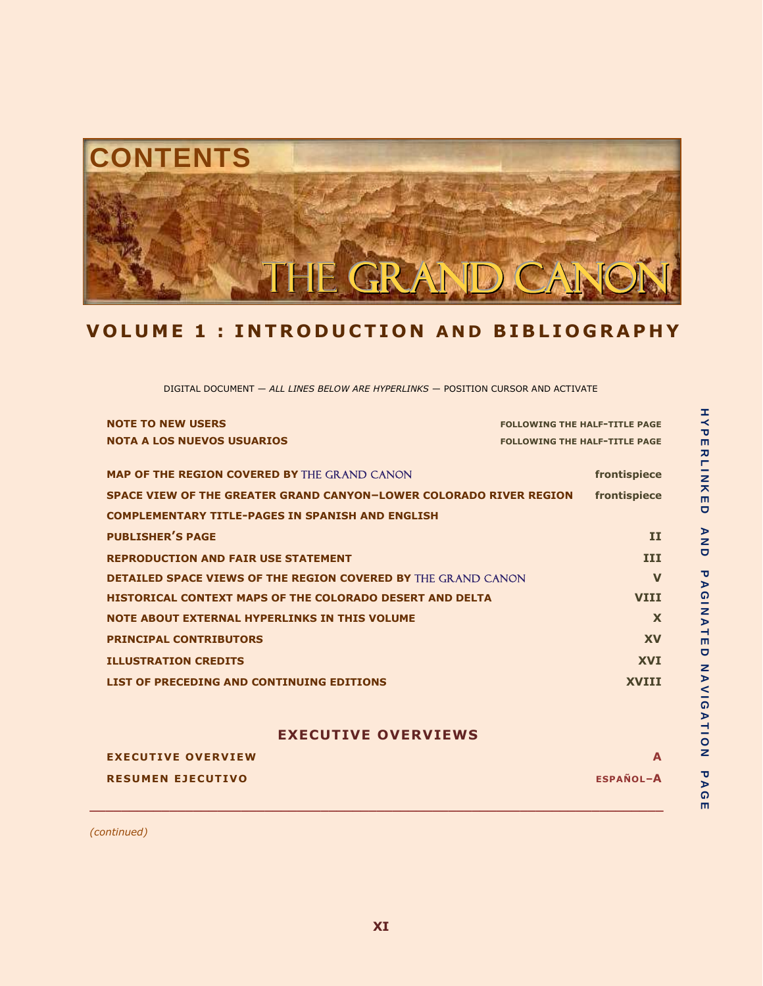

# **V O L U M E 1 : I N T R O D U C T I O N A N D B I B L I O G R A P H Y**

DIGITAL DOCUMENT — *ALL LINES BELOW ARE HYPERLINKS* — POSITION CURSOR AND ACTIVATE

| <b>NOTE TO NEW USERS</b>                                             | <b>FOLLOWING THE HALF-TITLE PAGE</b> |
|----------------------------------------------------------------------|--------------------------------------|
| <b>NOTA A LOS NUEVOS USUARIOS</b>                                    | <b>FOLLOWING THE HALF-TITLE PAGE</b> |
|                                                                      |                                      |
| <b>MAP OF THE REGION COVERED BY THE GRAND CANON</b>                  | frontispiece                         |
| SPACE VIEW OF THE GREATER GRAND CANYON-LOWER COLORADO RIVER REGION   | frontispiece                         |
| <b>COMPLEMENTARY TITLE-PAGES IN SPANISH AND ENGLISH</b>              |                                      |
| <b>PUBLISHER'S PAGE</b>                                              | II                                   |
| <b>REPRODUCTION AND FAIR USE STATEMENT</b>                           | <b>III</b>                           |
| <b>DETAILED SPACE VIEWS OF THE REGION COVERED BY THE GRAND CANON</b> | $\mathbf v$                          |
| <b>HISTORICAL CONTEXT MAPS OF THE COLORADO DESERT AND DELTA</b>      | <b>VTTT</b>                          |
| <b>NOTE ABOUT EXTERNAL HYPERLINKS IN THIS VOLUME</b>                 | X                                    |
| <b>PRINCIPAL CONTRIBUTORS</b>                                        | <b>XV</b>                            |
| <b>ILLUSTRATION CREDITS</b>                                          | <b>XVI</b>                           |
| LIST OF PRECEDING AND CONTINUING EDITIONS                            | <b>XVTTT</b>                         |

## **EXECUTIVE OVERVIEWS**

| <b>EXECUTIVE OVERVIEW</b> |                  |
|---------------------------|------------------|
| <b>RESUMEN EJECUTIVO</b>  | <b>ESPAÑOL-A</b> |
|                           |                  |

**\_\_\_\_\_\_\_\_\_\_\_\_\_\_\_\_\_\_\_\_\_\_\_\_\_\_\_\_\_\_\_\_\_\_\_\_\_\_\_\_\_\_\_\_\_\_\_\_\_\_\_\_\_\_\_\_\_\_\_\_\_\_\_\_\_\_\_\_\_\_\_\_**

*(continued)*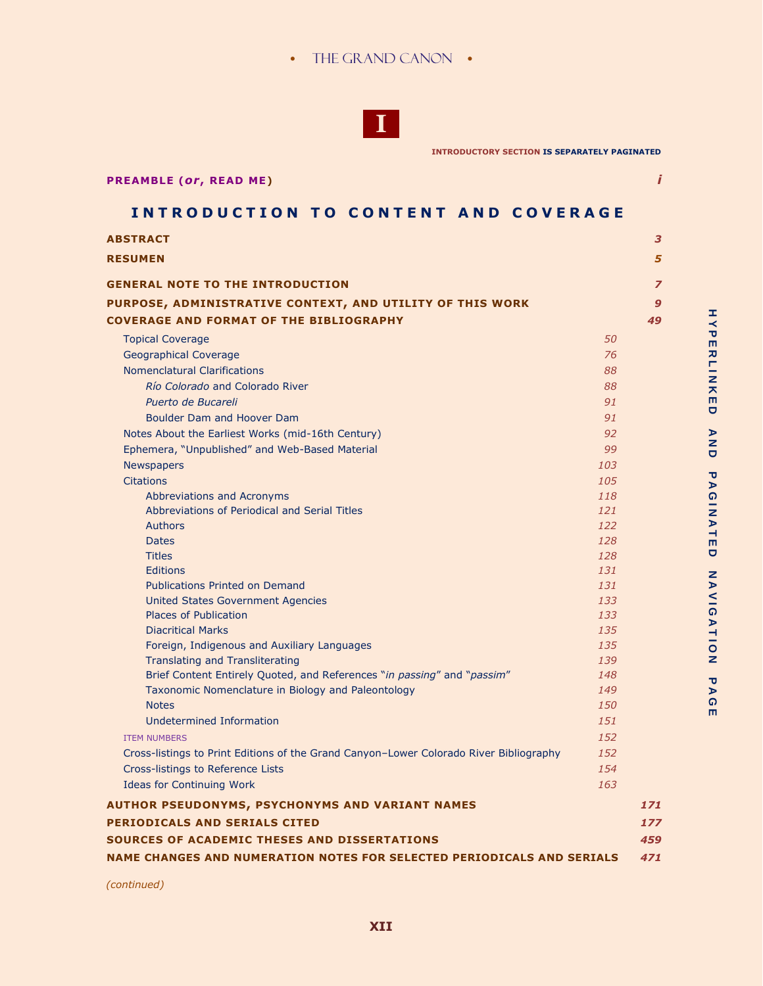## • THE GRAND CANON •



**INTRODUCTORY SECTION IS SEPARATELY PAGINATED**

| <b>PREAMBLE (Or, READ ME)</b> |  |  |
|-------------------------------|--|--|
|                               |  |  |

# **INTRODUCTION TO CONTENT AND COVERAGE**

| <b>ABSTRACT</b>                                                                        |     | 3              |
|----------------------------------------------------------------------------------------|-----|----------------|
| <b>RESUMEN</b>                                                                         |     | 5              |
| <b>GENERAL NOTE TO THE INTRODUCTION</b>                                                |     | $\overline{z}$ |
| PURPOSE, ADMINISTRATIVE CONTEXT, AND UTILITY OF THIS WORK                              |     | 9              |
| <b>COVERAGE AND FORMAT OF THE BIBLIOGRAPHY</b>                                         |     | 49             |
| <b>Topical Coverage</b>                                                                | 50  |                |
| Geographical Coverage                                                                  | 76  |                |
| <b>Nomenclatural Clarifications</b>                                                    | 88  |                |
| Río Colorado and Colorado River                                                        | 88  |                |
| Puerto de Bucareli                                                                     | 91  |                |
| Boulder Dam and Hoover Dam                                                             | 91  |                |
| Notes About the Earliest Works (mid-16th Century)                                      | 92  |                |
| Ephemera, "Unpublished" and Web-Based Material                                         | 99  |                |
| <b>Newspapers</b>                                                                      | 103 |                |
| <b>Citations</b>                                                                       | 105 |                |
| Abbreviations and Acronyms                                                             | 118 |                |
| Abbreviations of Periodical and Serial Titles                                          | 121 |                |
| <b>Authors</b>                                                                         | 122 |                |
| <b>Dates</b>                                                                           | 128 |                |
| <b>Titles</b>                                                                          | 128 |                |
| <b>Editions</b>                                                                        | 131 |                |
| <b>Publications Printed on Demand</b>                                                  | 131 |                |
| United States Government Agencies                                                      | 133 |                |
| <b>Places of Publication</b>                                                           | 133 |                |
| <b>Diacritical Marks</b>                                                               | 135 |                |
| Foreign, Indigenous and Auxiliary Languages                                            | 135 |                |
| Translating and Transliterating                                                        | 139 |                |
| Brief Content Entirely Quoted, and References "in passing" and "passim"                | 148 |                |
| Taxonomic Nomenclature in Biology and Paleontology                                     | 149 |                |
| <b>Notes</b>                                                                           | 150 |                |
| Undetermined Information                                                               | 151 |                |
| <b>ITEM NUMBERS</b>                                                                    | 152 |                |
| Cross-listings to Print Editions of the Grand Canyon-Lower Colorado River Bibliography | 152 |                |
| Cross-listings to Reference Lists                                                      | 154 |                |
| <b>Ideas for Continuing Work</b>                                                       | 163 |                |
| <b>AUTHOR PSEUDONYMS, PSYCHONYMS AND VARIANT NAMES</b>                                 |     | 171            |
| <b>PERIODICALS AND SERIALS CITED</b>                                                   |     | 177            |
| SOURCES OF ACADEMIC THESES AND DISSERTATIONS                                           |     | 459            |
| NAME CHANGES AND NUMERATION NOTES FOR SELECTED PERIODICALS AND SERIALS                 |     | 471            |
|                                                                                        |     |                |

 *(continued)*